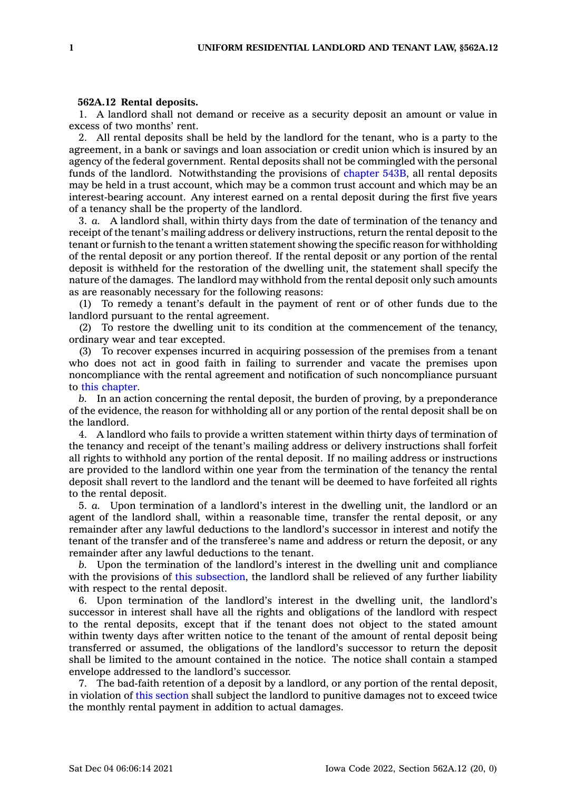## **562A.12 Rental deposits.**

1. A landlord shall not demand or receive as <sup>a</sup> security deposit an amount or value in excess of two months' rent.

2. All rental deposits shall be held by the landlord for the tenant, who is <sup>a</sup> party to the agreement, in <sup>a</sup> bank or savings and loan association or credit union which is insured by an agency of the federal government. Rental deposits shall not be commingled with the personal funds of the landlord. Notwithstanding the provisions of [chapter](https://www.legis.iowa.gov/docs/code//543B.pdf) 543B, all rental deposits may be held in <sup>a</sup> trust account, which may be <sup>a</sup> common trust account and which may be an interest-bearing account. Any interest earned on <sup>a</sup> rental deposit during the first five years of <sup>a</sup> tenancy shall be the property of the landlord.

3. *a.* A landlord shall, within thirty days from the date of termination of the tenancy and receipt of the tenant's mailing address or delivery instructions, return the rental deposit to the tenant or furnish to the tenant <sup>a</sup> written statement showing the specific reason for withholding of the rental deposit or any portion thereof. If the rental deposit or any portion of the rental deposit is withheld for the restoration of the dwelling unit, the statement shall specify the nature of the damages. The landlord may withhold from the rental deposit only such amounts as are reasonably necessary for the following reasons:

(1) To remedy <sup>a</sup> tenant's default in the payment of rent or of other funds due to the landlord pursuant to the rental agreement.

(2) To restore the dwelling unit to its condition at the commencement of the tenancy, ordinary wear and tear excepted.

(3) To recover expenses incurred in acquiring possession of the premises from <sup>a</sup> tenant who does not act in good faith in failing to surrender and vacate the premises upon noncompliance with the rental agreement and notification of such noncompliance pursuant to this [chapter](https://www.legis.iowa.gov/docs/code//562A.pdf).

*b.* In an action concerning the rental deposit, the burden of proving, by <sup>a</sup> preponderance of the evidence, the reason for withholding all or any portion of the rental deposit shall be on the landlord.

4. A landlord who fails to provide <sup>a</sup> written statement within thirty days of termination of the tenancy and receipt of the tenant's mailing address or delivery instructions shall forfeit all rights to withhold any portion of the rental deposit. If no mailing address or instructions are provided to the landlord within one year from the termination of the tenancy the rental deposit shall revert to the landlord and the tenant will be deemed to have forfeited all rights to the rental deposit.

5. *a.* Upon termination of <sup>a</sup> landlord's interest in the dwelling unit, the landlord or an agent of the landlord shall, within <sup>a</sup> reasonable time, transfer the rental deposit, or any remainder after any lawful deductions to the landlord's successor in interest and notify the tenant of the transfer and of the transferee's name and address or return the deposit, or any remainder after any lawful deductions to the tenant.

*b.* Upon the termination of the landlord's interest in the dwelling unit and compliance with the provisions of this [subsection](https://www.legis.iowa.gov/docs/code/562A.12.pdf), the landlord shall be relieved of any further liability with respect to the rental deposit.

6. Upon termination of the landlord's interest in the dwelling unit, the landlord's successor in interest shall have all the rights and obligations of the landlord with respect to the rental deposits, except that if the tenant does not object to the stated amount within twenty days after written notice to the tenant of the amount of rental deposit being transferred or assumed, the obligations of the landlord's successor to return the deposit shall be limited to the amount contained in the notice. The notice shall contain <sup>a</sup> stamped envelope addressed to the landlord's successor.

7. The bad-faith retention of <sup>a</sup> deposit by <sup>a</sup> landlord, or any portion of the rental deposit, in violation of this [section](https://www.legis.iowa.gov/docs/code/562A.12.pdf) shall subject the landlord to punitive damages not to exceed twice the monthly rental payment in addition to actual damages.